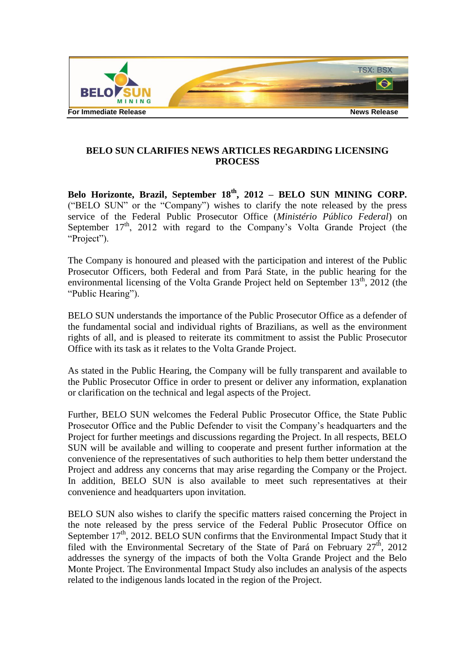

## **BELO SUN CLARIFIES NEWS ARTICLES REGARDING LICENSING PROCESS**

**Belo Horizonte, Brazil, September 18th, 2012 – BELO SUN MINING CORP.**  ("BELO SUN" or the "Company") wishes to clarify the note released by the press service of the Federal Public Prosecutor Office (*Ministério Público Federal*) on September  $17<sup>th</sup>$ , 2012 with regard to the Company's Volta Grande Project (the "Project").

The Company is honoured and pleased with the participation and interest of the Public Prosecutor Officers, both Federal and from Pará State, in the public hearing for the environmental licensing of the Volta Grande Project held on September  $13<sup>th</sup>$ , 2012 (the "Public Hearing").

BELO SUN understands the importance of the Public Prosecutor Office as a defender of the fundamental social and individual rights of Brazilians, as well as the environment rights of all, and is pleased to reiterate its commitment to assist the Public Prosecutor Office with its task as it relates to the Volta Grande Project.

As stated in the Public Hearing, the Company will be fully transparent and available to the Public Prosecutor Office in order to present or deliver any information, explanation or clarification on the technical and legal aspects of the Project.

Further, BELO SUN welcomes the Federal Public Prosecutor Office, the State Public Prosecutor Office and the Public Defender to visit the Company's headquarters and the Project for further meetings and discussions regarding the Project. In all respects, BELO SUN will be available and willing to cooperate and present further information at the convenience of the representatives of such authorities to help them better understand the Project and address any concerns that may arise regarding the Company or the Project. In addition, BELO SUN is also available to meet such representatives at their convenience and headquarters upon invitation.

BELO SUN also wishes to clarify the specific matters raised concerning the Project in the note released by the press service of the Federal Public Prosecutor Office on September  $17<sup>th</sup>$ , 2012. BELO SUN confirms that the Environmental Impact Study that it filed with the Environmental Secretary of the State of Pará on February  $27<sup>th</sup>$ , 2012 addresses the synergy of the impacts of both the Volta Grande Project and the Belo Monte Project. The Environmental Impact Study also includes an analysis of the aspects related to the indigenous lands located in the region of the Project.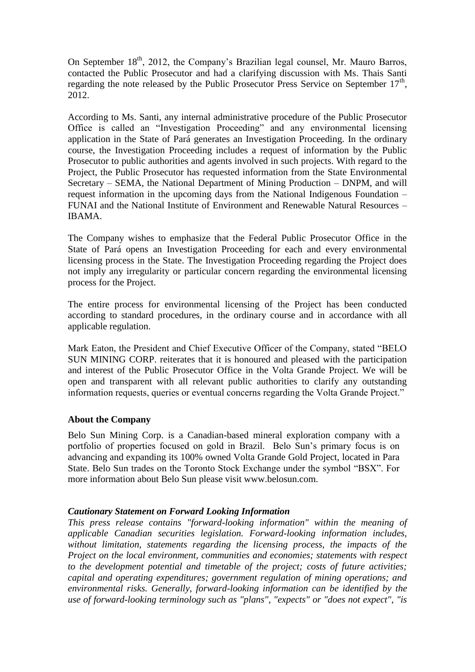On September  $18<sup>th</sup>$ , 2012, the Company's Brazilian legal counsel, Mr. Mauro Barros, contacted the Public Prosecutor and had a clarifying discussion with Ms. Thais Santi regarding the note released by the Public Prosecutor Press Service on September  $17<sup>th</sup>$ , 2012.

According to Ms. Santi, any internal administrative procedure of the Public Prosecutor Office is called an "Investigation Proceeding" and any environmental licensing application in the State of Pará generates an Investigation Proceeding. In the ordinary course, the Investigation Proceeding includes a request of information by the Public Prosecutor to public authorities and agents involved in such projects. With regard to the Project, the Public Prosecutor has requested information from the State Environmental Secretary – SEMA, the National Department of Mining Production – DNPM, and will request information in the upcoming days from the National Indigenous Foundation – FUNAI and the National Institute of Environment and Renewable Natural Resources – IBAMA.

The Company wishes to emphasize that the Federal Public Prosecutor Office in the State of Pará opens an Investigation Proceeding for each and every environmental licensing process in the State. The Investigation Proceeding regarding the Project does not imply any irregularity or particular concern regarding the environmental licensing process for the Project.

The entire process for environmental licensing of the Project has been conducted according to standard procedures, in the ordinary course and in accordance with all applicable regulation.

Mark Eaton, the President and Chief Executive Officer of the Company, stated "BELO SUN MINING CORP. reiterates that it is honoured and pleased with the participation and interest of the Public Prosecutor Office in the Volta Grande Project. We will be open and transparent with all relevant public authorities to clarify any outstanding information requests, queries or eventual concerns regarding the Volta Grande Project."

## **About the Company**

Belo Sun Mining Corp. is a Canadian-based mineral exploration company with a portfolio of properties focused on gold in Brazil. Belo Sun's primary focus is on advancing and expanding its 100% owned Volta Grande Gold Project, located in Para State. Belo Sun trades on the Toronto Stock Exchange under the symbol "BSX". For more information about Belo Sun please visit www.belosun.com.

## *Cautionary Statement on Forward Looking Information*

*This press release contains "forward-looking information" within the meaning of applicable Canadian securities legislation. Forward-looking information includes, without limitation, statements regarding the licensing process, the impacts of the Project on the local environment, communities and economies; statements with respect to the development potential and timetable of the project; costs of future activities; capital and operating expenditures; government regulation of mining operations; and environmental risks. Generally, forward-looking information can be identified by the use of forward-looking terminology such as "plans", "expects" or "does not expect", "is*